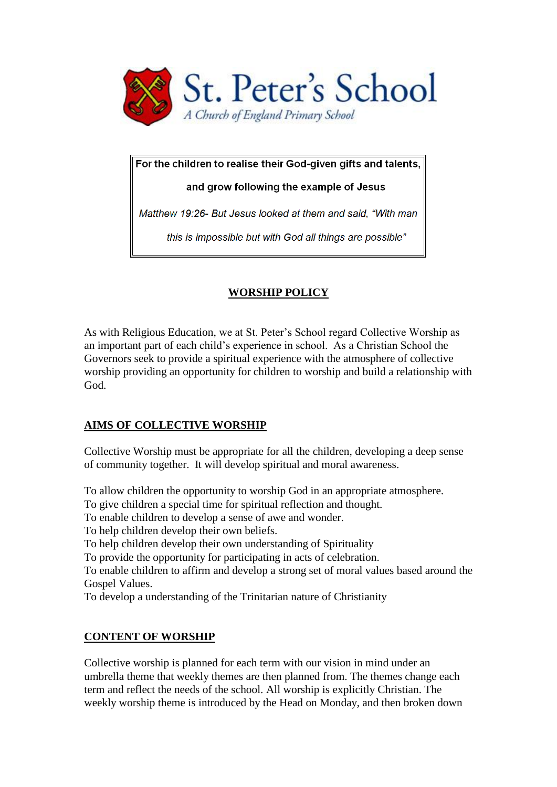

For the children to realise their God-given gifts and talents,

and grow following the example of Jesus

Matthew 19:26- But Jesus looked at them and said, "With man

this is impossible but with God all things are possible"

# **WORSHIP POLICY**

As with Religious Education, we at St. Peter's School regard Collective Worship as an important part of each child's experience in school. As a Christian School the Governors seek to provide a spiritual experience with the atmosphere of collective worship providing an opportunity for children to worship and build a relationship with God.

## **AIMS OF COLLECTIVE WORSHIP**

Collective Worship must be appropriate for all the children, developing a deep sense of community together. It will develop spiritual and moral awareness.

To allow children the opportunity to worship God in an appropriate atmosphere.

To give children a special time for spiritual reflection and thought.

To enable children to develop a sense of awe and wonder.

To help children develop their own beliefs.

To help children develop their own understanding of Spirituality

To provide the opportunity for participating in acts of celebration.

To enable children to affirm and develop a strong set of moral values based around the Gospel Values.

To develop a understanding of the Trinitarian nature of Christianity

## **CONTENT OF WORSHIP**

Collective worship is planned for each term with our vision in mind under an umbrella theme that weekly themes are then planned from. The themes change each term and reflect the needs of the school. All worship is explicitly Christian. The weekly worship theme is introduced by the Head on Monday, and then broken down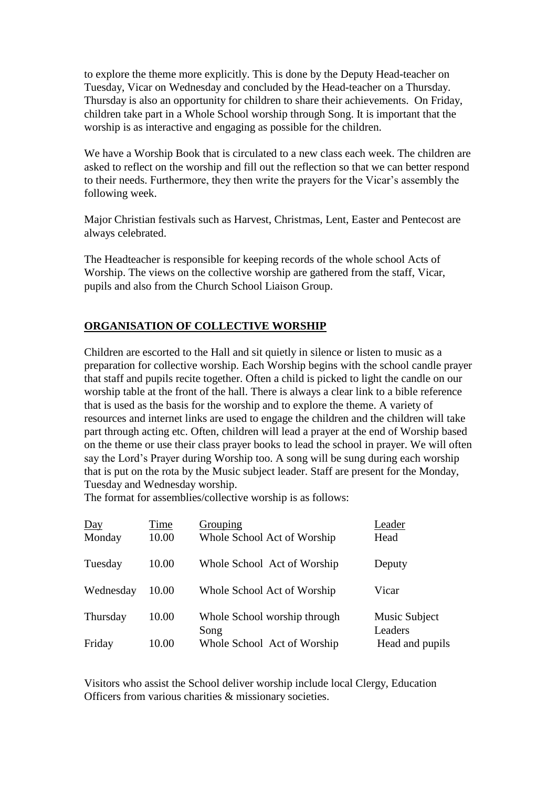to explore the theme more explicitly. This is done by the Deputy Head-teacher on Tuesday, Vicar on Wednesday and concluded by the Head-teacher on a Thursday. Thursday is also an opportunity for children to share their achievements. On Friday, children take part in a Whole School worship through Song. It is important that the worship is as interactive and engaging as possible for the children.

We have a Worship Book that is circulated to a new class each week. The children are asked to reflect on the worship and fill out the reflection so that we can better respond to their needs. Furthermore, they then write the prayers for the Vicar's assembly the following week.

Major Christian festivals such as Harvest, Christmas, Lent, Easter and Pentecost are always celebrated.

The Headteacher is responsible for keeping records of the whole school Acts of Worship. The views on the collective worship are gathered from the staff, Vicar, pupils and also from the Church School Liaison Group.

#### **ORGANISATION OF COLLECTIVE WORSHIP**

Children are escorted to the Hall and sit quietly in silence or listen to music as a preparation for collective worship. Each Worship begins with the school candle prayer that staff and pupils recite together. Often a child is picked to light the candle on our worship table at the front of the hall. There is always a clear link to a bible reference that is used as the basis for the worship and to explore the theme. A variety of resources and internet links are used to engage the children and the children will take part through acting etc. Often, children will lead a prayer at the end of Worship based on the theme or use their class prayer books to lead the school in prayer. We will often say the Lord's Prayer during Worship too. A song will be sung during each worship that is put on the rota by the Music subject leader. Staff are present for the Monday, Tuesday and Wednesday worship.

The format for assemblies/collective worship is as follows:

| $\underline{Day}$<br>Monday | Time<br>10.00 | Grouping<br>Whole School Act of Worship | Leader<br>Head           |
|-----------------------------|---------------|-----------------------------------------|--------------------------|
| Tuesday                     | 10.00         | Whole School Act of Worship             | Deputy                   |
| Wednesday                   | 10.00         | Whole School Act of Worship             | Vicar                    |
| Thursday                    | 10.00         | Whole School worship through<br>Song    | Music Subject<br>Leaders |
| Friday                      | 10.00         | Whole School Act of Worship             | Head and pupils          |

Visitors who assist the School deliver worship include local Clergy, Education Officers from various charities & missionary societies.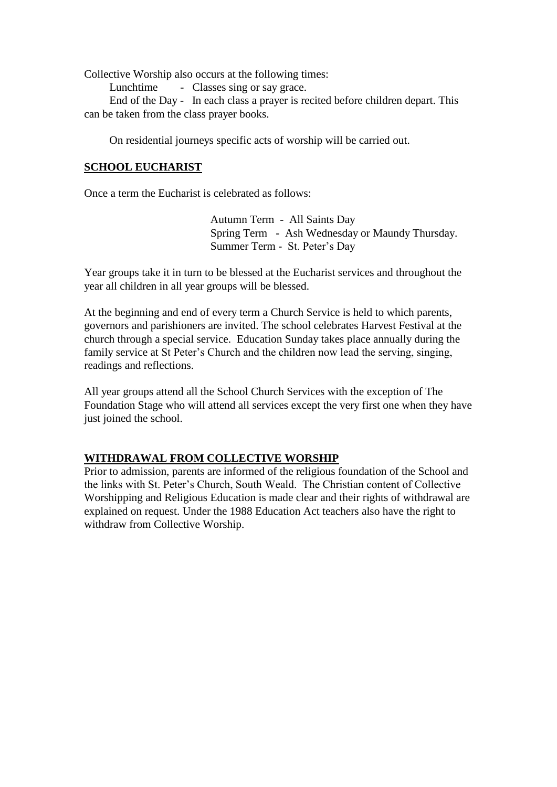Collective Worship also occurs at the following times:

Lunchtime - Classes sing or say grace.

 End of the Day - In each class a prayer is recited before children depart. This can be taken from the class prayer books.

On residential journeys specific acts of worship will be carried out.

#### **SCHOOL EUCHARIST**

Once a term the Eucharist is celebrated as follows:

 Autumn Term - All Saints Day Spring Term - Ash Wednesday or Maundy Thursday. Summer Term - St. Peter's Day

Year groups take it in turn to be blessed at the Eucharist services and throughout the year all children in all year groups will be blessed.

At the beginning and end of every term a Church Service is held to which parents, governors and parishioners are invited. The school celebrates Harvest Festival at the church through a special service. Education Sunday takes place annually during the family service at St Peter's Church and the children now lead the serving, singing, readings and reflections.

All year groups attend all the School Church Services with the exception of The Foundation Stage who will attend all services except the very first one when they have just joined the school.

#### **WITHDRAWAL FROM COLLECTIVE WORSHIP**

Prior to admission, parents are informed of the religious foundation of the School and the links with St. Peter's Church, South Weald. The Christian content of Collective Worshipping and Religious Education is made clear and their rights of withdrawal are explained on request. Under the 1988 Education Act teachers also have the right to withdraw from Collective Worship.